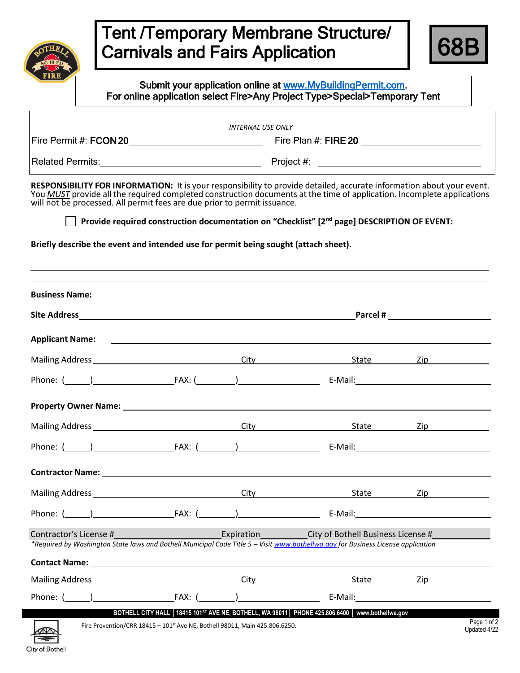



|                                                                                                                                                                                                                                |  | <b>INTERNAL USE ONLY</b>                                                                                                                                                                                                             |                                                                                                                                                                                                                                                                                                                                                            |                                                                                                                                                                                                                                |
|--------------------------------------------------------------------------------------------------------------------------------------------------------------------------------------------------------------------------------|--|--------------------------------------------------------------------------------------------------------------------------------------------------------------------------------------------------------------------------------------|------------------------------------------------------------------------------------------------------------------------------------------------------------------------------------------------------------------------------------------------------------------------------------------------------------------------------------------------------------|--------------------------------------------------------------------------------------------------------------------------------------------------------------------------------------------------------------------------------|
|                                                                                                                                                                                                                                |  |                                                                                                                                                                                                                                      |                                                                                                                                                                                                                                                                                                                                                            |                                                                                                                                                                                                                                |
|                                                                                                                                                                                                                                |  | Related Permits: <u>New York: Network: Network: Network: Network: Network: Network: Network: Network: Network: Network: Network: Network: Network: Network: Network: Network: Network: Network: Network: Network: Network: Netwo</u> |                                                                                                                                                                                                                                                                                                                                                            |                                                                                                                                                                                                                                |
| will not be processed. All permit fees are due prior to permit issuance.<br>Briefly describe the event and intended use for permit being sought (attach sheet).                                                                |  |                                                                                                                                                                                                                                      | RESPONSIBILITY FOR INFORMATION: It is your responsibility to provide detailed, accurate information about your event.<br>You MUST provide all the required completed construction documents at the time of application. Incomplete applications<br>Provide required construction documentation on "Checklist" [2 <sup>nd</sup> page] DESCRIPTION OF EVENT: |                                                                                                                                                                                                                                |
|                                                                                                                                                                                                                                |  |                                                                                                                                                                                                                                      | ,我们也不会有什么。""我们的人,我们也不会有什么?""我们的人,我们也不会有什么?""我们的人,我们也不会有什么?""我们的人,我们也不会有什么?""我们的人                                                                                                                                                                                                                                                                           |                                                                                                                                                                                                                                |
|                                                                                                                                                                                                                                |  |                                                                                                                                                                                                                                      | Applicant Name: <u>Consequence</u> Consequence Consequence Consequence Consequence Consequence Consequence Consequence                                                                                                                                                                                                                                     |                                                                                                                                                                                                                                |
|                                                                                                                                                                                                                                |  |                                                                                                                                                                                                                                      |                                                                                                                                                                                                                                                                                                                                                            |                                                                                                                                                                                                                                |
|                                                                                                                                                                                                                                |  |                                                                                                                                                                                                                                      |                                                                                                                                                                                                                                                                                                                                                            |                                                                                                                                                                                                                                |
|                                                                                                                                                                                                                                |  |                                                                                                                                                                                                                                      |                                                                                                                                                                                                                                                                                                                                                            |                                                                                                                                                                                                                                |
|                                                                                                                                                                                                                                |  |                                                                                                                                                                                                                                      |                                                                                                                                                                                                                                                                                                                                                            |                                                                                                                                                                                                                                |
|                                                                                                                                                                                                                                |  |                                                                                                                                                                                                                                      | Phone: ( <u>) FAX: ( )</u> FAX: ( ) E-Mail: E-Mail: E-Mail: E-Mail: ( ) E-Mail: E-Mail: ( ) E-Mail: ( ) and () and () and () and () and () and () and () and () and () and () and () and () and () and () and () and () and () and                                                                                                                         |                                                                                                                                                                                                                                |
| Contractor Name: Name: Name and South Assembly Manual Assembly Manual Assembly Manual Assembly Manual Assembly                                                                                                                 |  |                                                                                                                                                                                                                                      |                                                                                                                                                                                                                                                                                                                                                            |                                                                                                                                                                                                                                |
| Mailing Address and the control of the control of the control of the control of the control of the control of the control of the control of the control of the control of the control of the control of the control of the con |  | City                                                                                                                                                                                                                                 | State                                                                                                                                                                                                                                                                                                                                                      | Zip in the contract of the contract of the contract of the contract of the contract of the contract of the con                                                                                                                 |
| Phone: (                                                                                                                                                                                                                       |  |                                                                                                                                                                                                                                      |                                                                                                                                                                                                                                                                                                                                                            | E-Mail: E-Mail: All and the state of the state of the state of the state of the state of the state of the state of the state of the state of the state of the state of the state of the state of the state of the state of the |
| Contractor's License #                                                                                                                                                                                                         |  | Expiration                                                                                                                                                                                                                           | City of Bothell Business License #<br>*Required by Washington State laws and Bothell Municipal Code Title 5 - Visit www.bothellwa.gov for Business License application                                                                                                                                                                                     |                                                                                                                                                                                                                                |
|                                                                                                                                                                                                                                |  |                                                                                                                                                                                                                                      |                                                                                                                                                                                                                                                                                                                                                            |                                                                                                                                                                                                                                |
|                                                                                                                                                                                                                                |  |                                                                                                                                                                                                                                      | State <b>State</b>                                                                                                                                                                                                                                                                                                                                         | Zip in the set of the set of the set of the set of the set of the set of the set of the set of the set of the                                                                                                                  |